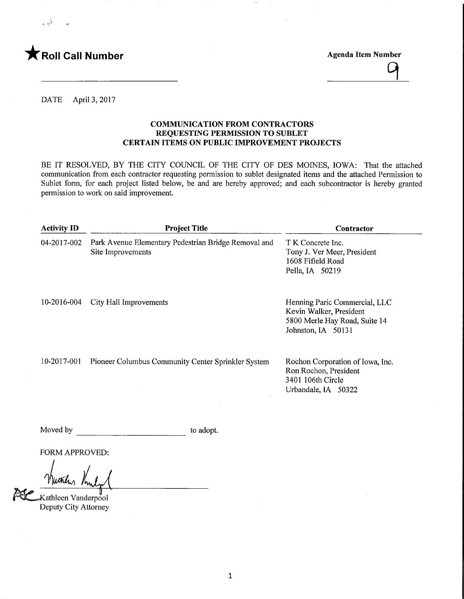

>,'

 $\mathcal{G}$ 

DATE April 3, 2017

### COMMUNICATION FROM CONTRACTORS REQUESTING PERMISSION TO SUBLET CERTAIN ITEMS ON PUBLIC IMPROVEMENT PROJECTS

BE IT RESOLVED, BY THE CITY COUNCIL OF THE CITY OF DES MOINES, IOWA: That the attached communication from each contractor requesting permission to sublet designated items and the attached Permission to Sublet form, for each project listed below, be and are hereby approved; and each subcontractor is hereby granted permission to work on said improvement.

| <b>Activity ID</b> | <b>Project Title</b>                                                      | Contractor                                                                                                      |
|--------------------|---------------------------------------------------------------------------|-----------------------------------------------------------------------------------------------------------------|
| 04-2017-002        | Park Avenue Elementary Pedestrian Bridge Removal and<br>Site Improvements | T K Concrete Inc.<br>Tony J. Ver Meer, President<br>1608 Fifield Road<br>Pella, IA 50219                        |
| 10-2016-004        | City Hall Improvements                                                    | Henning Paric Commercial, LLC<br>Kevin Walker, President<br>5800 Merle Hay Road, Suite 14<br>Johnston, IA 50131 |
| 10-2017-001        | Pioneer Columbus Community Center Sprinkler System                        | Rochon Corporation of Iowa, Inc.<br>Ron Rochon, President<br>3401 106th Circle<br>Urbandale, IA 50322           |

Moved by to adopt.

FORM APPROVED:

they

ا<br>Kathleen Vanderpool⊾ Deputy City Attorney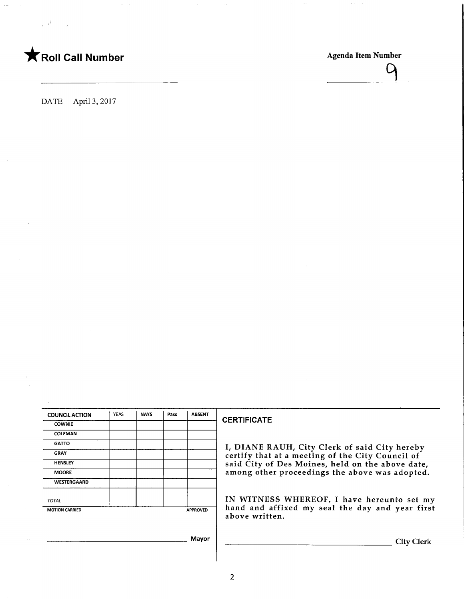

 $\overline{\mathcal{A}}$ 

DATE April 3, 2017

| <b>COUNCIL ACTION</b> | <b>YEAS</b> | <b>NAYS</b> | Pass | <b>ABSENT</b>   |
|-----------------------|-------------|-------------|------|-----------------|
| <b>COWNIE</b>         |             |             |      |                 |
| <b>COLEMAN</b>        |             |             |      |                 |
| <b>GATTO</b>          |             |             |      |                 |
| <b>GRAY</b>           |             |             |      |                 |
| <b>HENSLEY</b>        |             |             |      |                 |
| <b>MOORE</b>          |             |             |      |                 |
| WESTERGAARD           |             |             |      |                 |
| <b>TOTAL</b>          |             |             |      |                 |
| <b>MOTION CARRIED</b> |             |             |      | <b>APPROVED</b> |

### CERTIFICATE

I, DIANE RAUH, City Clerk of said City hereby certify that at a meeting of the City Council of said City of Des Moines, held on the above date, among other proceedings the above was adopted.

IN WITNESS WHEREOF, I have hereunto set my hand and affixed my seal the day and year first above written.

Mayor

**City Clerk**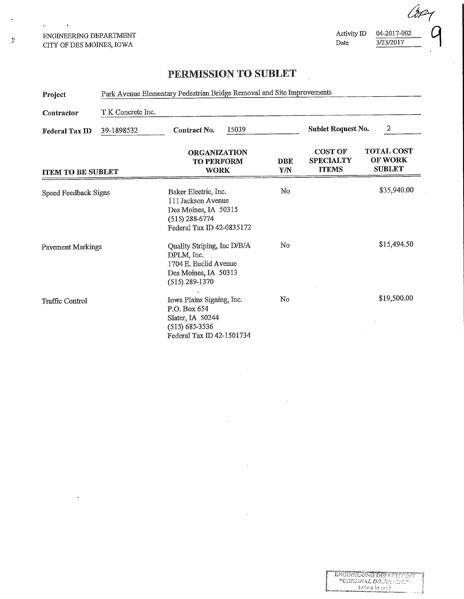ENGINEERING DEPARTMENT CITY OF DES MOINES, IOWA

Activity ID  $\frac{04-2017-002}{3/23/2017}$ 

 $3/23/2017$ 

 $\overline{\phantom{a}}$ 

## PERMISSION TO SUBLET

| Project                         | Park Avenue Elementary Pedestrian Bridge Removal and Site Improvements |                                                                                                                     |                   |                                                    |                                                      |
|---------------------------------|------------------------------------------------------------------------|---------------------------------------------------------------------------------------------------------------------|-------------------|----------------------------------------------------|------------------------------------------------------|
| T K Concrete Inc.<br>Contractor |                                                                        |                                                                                                                     |                   |                                                    |                                                      |
| <b>Federal Tax ID</b>           | 39-1898532                                                             | 15039<br>Contract No.                                                                                               |                   | Sublet Request No.                                 | 2                                                    |
| <b>ITEM TO BE SUBLET</b>        |                                                                        | <b>ORGANIZATION</b><br><b>TO PERFORM</b><br><b>WORK</b>                                                             | <b>DBE</b><br>Y/N | <b>COST OF</b><br><b>SPECIALTY</b><br><b>ITEMS</b> | <b>TOTAL COST</b><br><b>OF WORK</b><br><b>SUBLET</b> |
| Speed Feedback Signs            |                                                                        | Baker Electric, Inc.<br>111 Jackson Avenue<br>Des Moines, IA 50315<br>$(515)$ 288-6774<br>Federal Tax ID 42-0835172 | No                |                                                    | \$35,940.00                                          |
| <b>Pavement Markings</b>        |                                                                        | Quality Striping, Inc D/B/A<br>DPLM, Inc.<br>1704 E. Euclid Avenue<br>Des Moines, IA 50313<br>$(515)$ 289-1370      | No                |                                                    | \$15,494.50                                          |
| Traffic Control                 |                                                                        | Iowa Plains Signing, Inc.<br>P.O. Box 654<br>Slater, IA 50244<br>$(515)$ 685-3536<br>Federal Tax ID 42-1501734      | No                |                                                    | \$19,500.00                                          |

 $\frac{1}{2}$ 

 $\epsilon_F^{\rm eff}$ 

 $\bar{\mathbf{r}}$ 

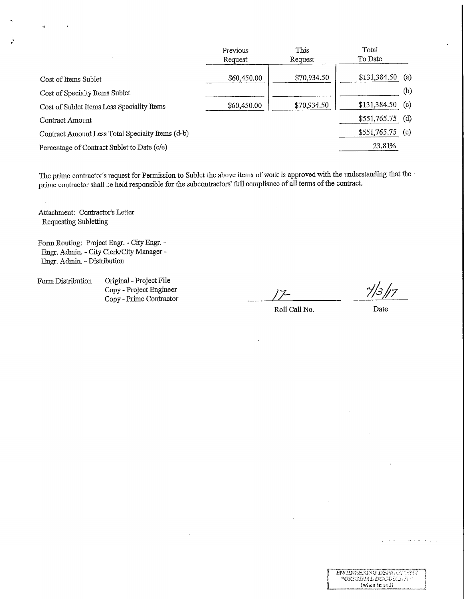|                                                  | Previous    | This        | Total             |     |
|--------------------------------------------------|-------------|-------------|-------------------|-----|
|                                                  | Request     | Request     | To Date           |     |
|                                                  |             |             |                   |     |
| Cost of Items Sublet                             | \$60,450.00 | \$70,934.50 | $$131,384.50$ (a) |     |
| Cost of Specialty Items Sublet                   |             |             |                   | (b) |
| Cost of Sublet Items Less Speciality Items       | \$60,450.00 | \$70,934.50 | $$131,384.50$ (c) |     |
| Contract Amount                                  |             |             | $$551,765.75$ (d) |     |
| Contract Amount Less Total Specialty Items (d-b) |             |             | $$551,765.75$ (e) |     |
| Percentage of Contract Sublet to Date (c/e)      |             |             | 23.81%            |     |

The prime contractor's request for Permission to Sublet the above items of work is approved with the understanding that the prime contractor shall be held responsible for the subcontractors' full compliance of all terms of the contract.

Attachment: Contractor's Letter Requesting Subletting

a)

Ì

 $\bar{z}$ 

Form Routing: Project Engr. - City Engr. - Engr. Admin. - City Clerk/City Manager -Engr. Admin. - Distribution

Form Distribution Original - Project File Copy - Project Engineer Copy - Prime Contractor

Roll Call No. Date

L

ENCINEERING DEFATET TENN "ORIGIMAL DGCVICATE" (when in rad)

المناسبات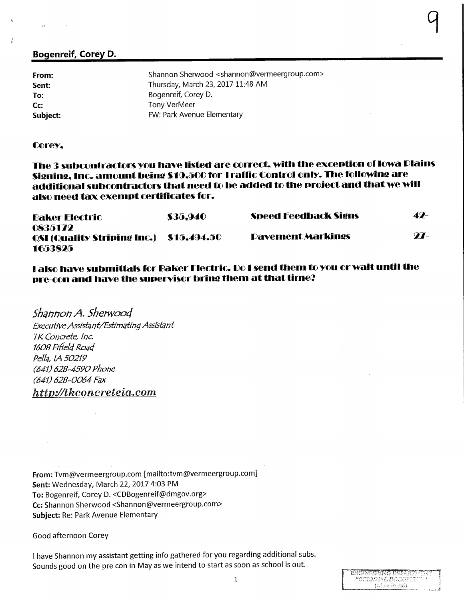### Bogenreif, Corey D.

| From:    | Shannon Sherwood <shannon@vermeergroup.com></shannon@vermeergroup.com> |
|----------|------------------------------------------------------------------------|
| Sent:    | Thursday, March 23, 2017 11:48 AM                                      |
| To:      | Bogenreif, Corey D.                                                    |
| Cc:      | Tony VerMeer                                                           |
| Subject: | FW: Park Avenue Elementary                                             |

### Corey,

The 3 subcontractors ycu have listed are correct, with the exception cf Iowa Plains Signing, Inc. amount being S19,SCC fcr Traffic Control cnly. The fcllcwine are additional subcontractors that need to be added to the project and that we will also need tax exempt certificates fcr.

| Baker Electric                                                       | \$35.940 | <b>Speed Feedback Signs</b> | 49-         |
|----------------------------------------------------------------------|----------|-----------------------------|-------------|
| 0835172<br><b>QSI (Quality Striping Inc.)</b> \$15,494.50<br>1653825 |          | <b>Pavement Markings</b>    | <b>77</b> – |

I also have submittals for Baker Electric. Co I send them to you or wait until the pre-con and have the supervisor bring them at that time?

Shannon A. Sherwood Executive Assistant/Estimating Assistant TK Concrete, Inc. 1608 Fifield Road Pella, 1A 50219 C64V 628-4590 Phone (641) 628-0064 Fax http://tkconcreteia.com

From: Tvm@vermeergroup.com [mailto:tvm@vermeergroup.com] Sent: Wednesday, March 22, 2017 4:03 PM To: Bogenreif, Corey D. <CDBogenreif@dmgov.org> Cc: Shannon Sherwood <Shannon@vermeergroup.com> Subject: Re: Park Avenue Elementary

Good afternoon Corey

I have Shannon my assistant getting info gathered for you regarding additional subs. Sounds good on the pre con in May as we intend to start as soon as school is out.

s

1

 $\mathbf{1}$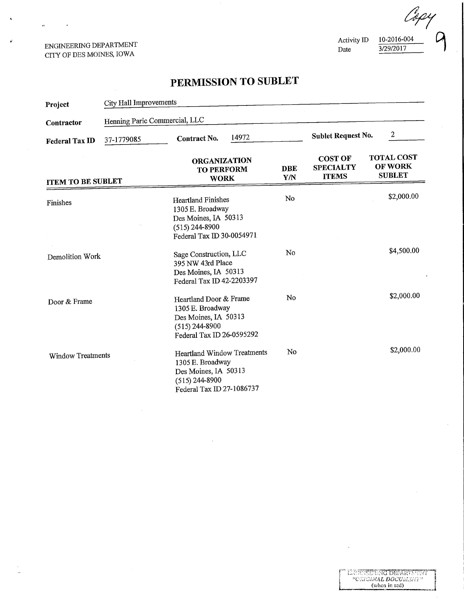### ENGINEERING DEPARTMENT CITY OF DES MOINES, IOWA

 $\mathbf{u}$ 

 $\bullet$ 

 $\frac{3/29/2017}{\sqrt{10^{-20}}}\$ 

# PERMISSION TO SUBLET

| Project                  | City Hall Improvements        |                                                                                                                                 |       |                   |                                                    |                                               |
|--------------------------|-------------------------------|---------------------------------------------------------------------------------------------------------------------------------|-------|-------------------|----------------------------------------------------|-----------------------------------------------|
| Contractor               | Henning Paric Commercial, LLC |                                                                                                                                 |       |                   |                                                    |                                               |
| <b>Federal Tax ID</b>    | 37-1779085                    | Contract No.                                                                                                                    | 14972 |                   | <b>Sublet Request No.</b>                          | $\boldsymbol{2}$                              |
| <b>ITEM TO BE SUBLET</b> |                               | <b>ORGANIZATION</b><br><b>TO PERFORM</b><br><b>WORK</b>                                                                         |       | <b>DBE</b><br>Y/N | <b>COST OF</b><br><b>SPECIALTY</b><br><b>ITEMS</b> | <b>TOTAL COST</b><br>OF WORK<br><b>SUBLET</b> |
| Finishes                 |                               | <b>Heartland Finishes</b><br>1305 E. Broadway<br>Des Moines, IA 50313<br>$(515)$ 244-8900<br>Federal Tax ID 30-0054971          |       | No                |                                                    | \$2,000.00                                    |
| Demolition Work          |                               | Sage Construction, LLC<br>395 NW 43rd Place<br>Des Moines, IA 50313<br>Federal Tax ID 42-2203397                                |       | No                |                                                    | \$4,500.00                                    |
| Door & Frame             |                               | Heartland Door & Frame<br>1305 E. Broadway<br>Des Moines, IA 50313<br>$(515)$ 244-8900<br>Federal Tax ID 26-0595292             |       | No                |                                                    | \$2,000.00                                    |
| <b>Window Treatments</b> |                               | <b>Heartland Window Treatments</b><br>1305 E. Broadway<br>Des Moines, IA 50313<br>$(515)$ 244-8900<br>Federal Tax ID 27-1086737 |       | No                |                                                    | \$2,000.00                                    |

÷,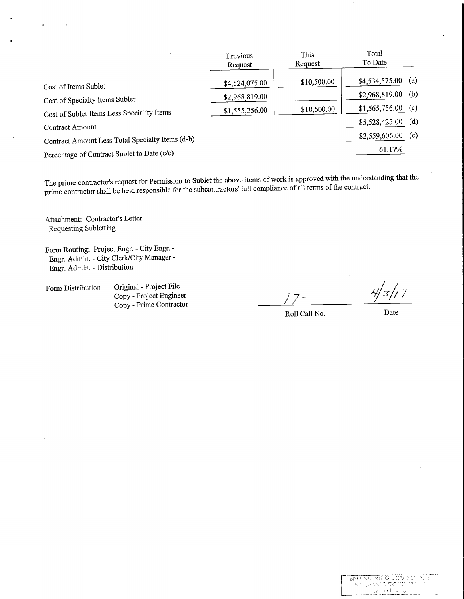|                                                  | Previous<br>Request | This<br>Request | Total<br>To Date      |
|--------------------------------------------------|---------------------|-----------------|-----------------------|
| Cost of Items Sublet                             | \$4,524,075.00      | \$10,500.00     | (a)<br>\$4,534,575.00 |
| Cost of Specialty Items Sublet                   | \$2,968,819.00      |                 | $$2,968,819.00$ (b)   |
| Cost of Sublet Items Less Speciality Items       | \$1,555,256.00      | \$10,500.00     | (c)<br>\$1,565,756.00 |
| Contract Amount                                  |                     |                 | (d)<br>\$5,528,425.00 |
| Contract Amount Less Total Specialty Items (d-b) |                     |                 | (e)<br>\$2,559,606.00 |
| Percentage of Contract Sublet to Date (c/e)      |                     |                 | 61.17%                |

The prime contractor's request for Permission to Sublet the above items of work is approved with die understanding that the prime contractor shall be held responsible for the subcontractors' full compliance of all terms of the contract.

Attachment: Contractor's Letter Requesting Subletting

 $\hat{\mathbf{q}}$ 

 $\overline{a}$ 

Form Routing: Project Engr. - City Engr. - Engr. Admin. - City Clerk/City Manager - Engr. Admin. - Distribution

Form Distribution Original - Project File Copy - Project Engineer  $\frac{2}{\text{opy - Project Engineering}}$  ,  $\frac{7}{7}$  ,  $\frac{7}{7}$  ,  $\frac{7}{7}$  ,  $\frac{7}{7}$  ,  $\frac{7}{7}$  ,  $\frac{7}{7}$  ,  $\frac{7}{7}$  ,  $\frac{7}{7}$  ,  $\frac{7}{7}$  ,  $\frac{7}{7}$  ,  $\frac{7}{7}$  ,  $\frac{7}{7}$  ,  $\frac{7}{7}$  ,  $\frac{7}{7}$  ,  $\frac{7}{7}$  ,  $\frac{7}{7}$  ,  $\frac{7}{7}$  ,

 $\frac{1}{2}$ 

 $\begin{array}{ll} \mbox{ENGNUSRING DRT} \\ \hline \end{array}$   $\begin{array}{ll} \mbox{SGCT} \\ \hline \end{array}$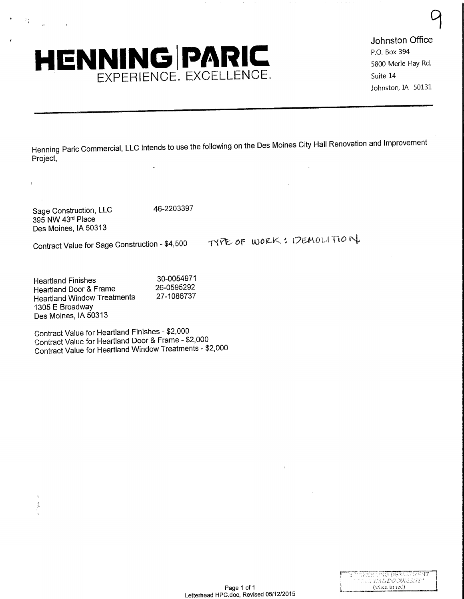# HENNING PARIC Johnston Office<br>
S800 Merle Hay Rd. EXPERIENCE. EXCELLENCE.<br>
Suite 14<br>
Johnston, IA 50131

5800 Merle Hay Rd. Suite 14

°\

Henning Paric Commercial, LLC intends to use the following on the Des Moines City Hall Renovation and Improvement Project,

Sage Construction, LLC 46-2203397 395 NW 43rd Place Des Moines, IA 50313

おも

ł.

 $\ddot{\phantom{a}}$ Í.

Contract Value for Sage Construction - \$4,500 TYPE OF WORK: IDEMOLITION

Heartland Finishes 30-0054971<br>Heartland Door & Frame 26-0595292 Heartland Door & Frame 26-0595292<br>Heartland Window Treatments 27-1086737 Heartland Window Treatments 1305 E Broadway Des Moines, IA 50313

Contract Value for Heartland Finishes - \$2,000 Contract Value for Heartland Door & Frame - \$2,000 Contract Value for Heartland Window Treatments - \$2,000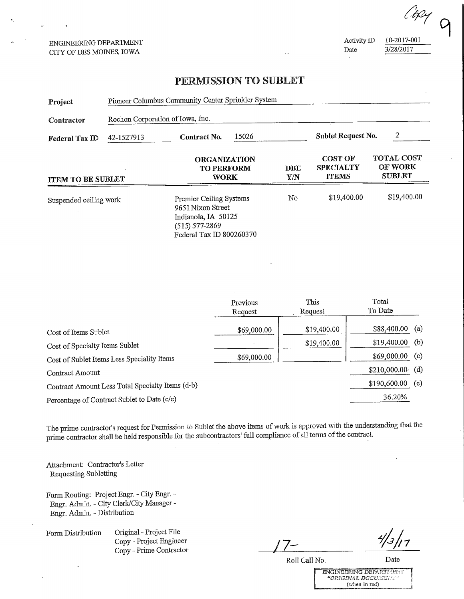ENGINEERING DEPARTMENT CITY OF DES MOINES, IOWA

Activity ID 10-2017-001<br>Date 3/28/2017 3/28/2017

Apy

 $\mathcal{L}$ 

### PERMISSION TO SUBLET

| Project                  | Pioneer Columbus Community Center Sprinkler System |                                                                                                                              |  |                    |                                                    |                                                      |
|--------------------------|----------------------------------------------------|------------------------------------------------------------------------------------------------------------------------------|--|--------------------|----------------------------------------------------|------------------------------------------------------|
| Contractor               | Rochon Corporation of Iowa, Inc.                   |                                                                                                                              |  |                    |                                                    |                                                      |
| Federal Tax ID           | 42-1527913                                         | 15026<br>Contract No.                                                                                                        |  | Sublet Request No. | 2                                                  |                                                      |
| <b>ITEM TO BE SUBLET</b> |                                                    | <b>ORGANIZATION</b><br><b>TO PERFORM</b><br><b>WORK</b>                                                                      |  | DBE<br>Y/N         | <b>COST OF</b><br><b>SPECIALTY</b><br><b>TTEMS</b> | <b>TOTAL COST</b><br><b>OF WORK</b><br><b>SUBLET</b> |
| Suspended ceiling work   |                                                    | <b>Premier Ceiling Systems</b><br>9651 Nixon Street<br>Indianola, IA 50125<br>$(515) 577 - 2869$<br>Federal Tax ID 800260370 |  | No                 | \$19,400.00                                        | \$19,400.00                                          |

|                                                  | Previous<br>Request | This<br>Request | Total<br>To Date |     |
|--------------------------------------------------|---------------------|-----------------|------------------|-----|
| Cost of Items Sublet                             | \$69,000.00         | \$19,400.00     | \$88,400.00      | (a) |
| Cost of Specialty Items Sublet                   |                     | \$19,400.00     | \$19,400.00      | (b) |
| Cost of Sublet Items Less Speciality Items       | \$69,000.00         |                 | \$69,000.00      | (c) |
| Contract Amount                                  |                     |                 | \$210,000.00     | (d) |
| Contract Amount Less Total Specialty Items (d-b) |                     |                 | \$190,600.00     | (e) |
| Percentage of Contract Sublet to Date (c/e)      |                     |                 | 36.20%           |     |

The prime contractor's request for Permission to Sublet the above items of work is approved with the understanding that the prime contractor shall be held responsible for the subcontractors' full compliance of all terms of the contract,

Attachment: Contractor's Letter Requesting Subletting

Form Routing: Project Engr. - City Engr. - Engr. Admia. - City Clerk/City Manager - Engr. Admm. - Distribution

Form Distribution Original - Project File Copy - Project Engineer Original - Project File<br>
Copy - Project Engineer<br>
Copy - Prime Contractor<br>
Ro

 $\frac{4}{3}$  | 1

Roll Call No.

Date

ENGINEERING DEFARTMENT (when in red)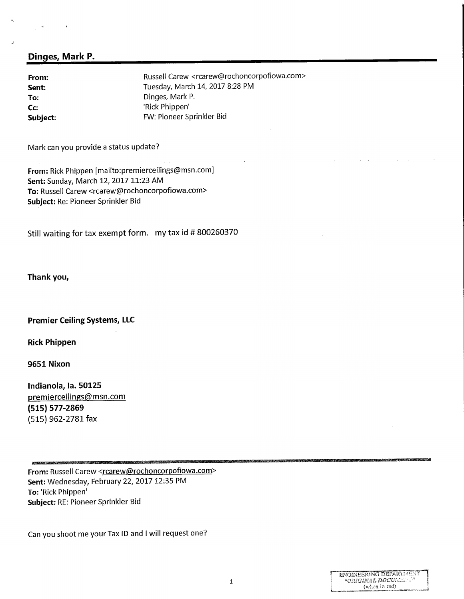### Dinges, Mark P.

From: From: Russell Carew <rcarew@rochoncorpofiowa.com><br>
Sent: Fuesday, March 14, 2017 8:28 PM Tuesday, March 14, 2017 8:28 PM To: Dinges, Mark P.<br>
Co: The Communication of the Contract Philippen' Cc: Cc: 'Rick Phippen'<br>
Subject: 'Subject: 'Subject: 'Subject: 'Subject: 'Subject: 'Subject: 'Subject: 'Subject: 'Subject: 'Subject: FW: Pioneer Sprinkler Bid

Mark can you provide a status update?

From: Rick Phippen [mailto:premierceilings@msn.com] Sent: Sunday, March 12, 2017 11:23 AM To: Russell Carew <rcarew@rochoncorpofiowa.com> Subject: Re: Pioneer Sprinkler Bid

Still waiting for tax exempt form. my tax id # 800260370

Thank you,

### Premier Ceiling Systems, LLC

Rick Phippen

9651 Nixon

Indianola, la. 50125 premierceilings@msn.com (515) 577-2869 (515) 962-2781 fax

From: Russell Carew <rcarew@rochoncorpofiowa.com> Sent: Wednesday, February 22, 2017 12:35 PM To: 'Rick Phippen' Subject: RE: Pioneer Sprinkler Bid

Can you shoot me your Tax ID and I will request one?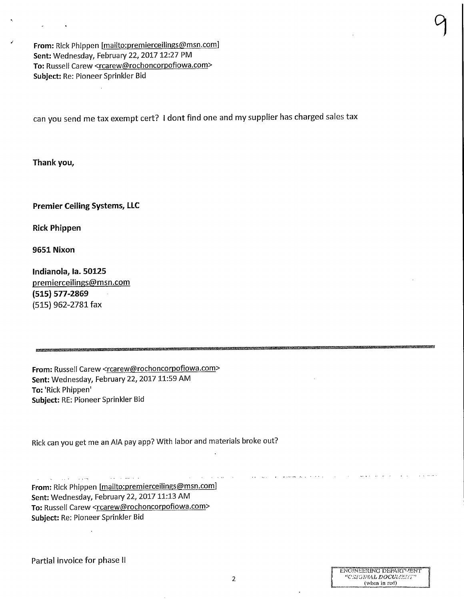From: Rick Phippen [mailto:premierceilings@msn.com] Sent: Wednesday, February 22, 2017 12:27 PM To: Russell Carew <rcarew@rochoncorpofiowa.com> Subject: Re: Pioneer Sprinkler Bid

can you send me tax exempt cert? I dont find one and my supplier has charged sales tax

Thank you,

Premier Ceiling Systems, LLC

Rick Phippen

9651 Nixon

Indianola, la. 50125 premierceilings@msn.com (515) 577-2869 (515) 962-2781 fax

From: Russell Carew <rcarew@rochoncorpofiowa.com> Sent: Wednesday, February 22, 2017 11:59 AM To: 'Rick Phippen' Subject: RE: Pioneer Sprinkler Bid

Rick can you get me an AIA pay app? With labor and materials broke out?

 $\sim$  100  $\sim 100$ From: Rick Phippen [mailto:premierceilings@msn.com] Sent: Wednesday, February 22, 2017 11:13 AM To: Russell Carew <rcarew@rochoncorpofiowa.com> Subject: Re: Pioneer Sprinkler Bid

Partial invoice for phase II

°1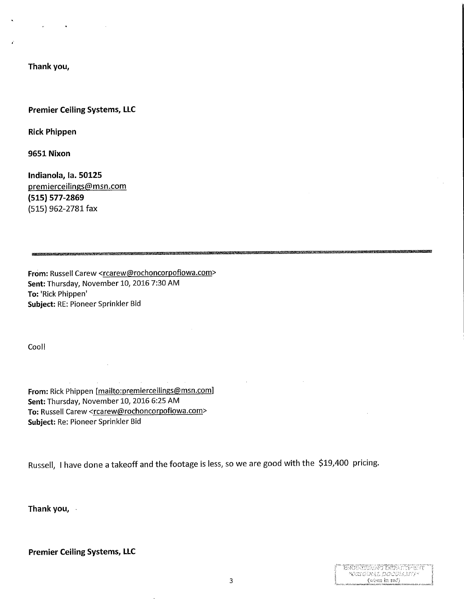Thank you,

 $\sim 10^{11}$  km s  $^{-1}$ 

### Premier Ceiling Systems, LLC

Rick Phippen

9651 Nixon

Indianola, la. 50125 premierceilings@msn.com (515) 577-2869 (515) 962-2781 fax

From: Russell Carew <rcarew@rochoncorpofiowa.com> Sent: Thursday, November 10, 2016 7:30 AM To: 'Rick Phippen' Subject: RE: Pioneer Sprinkler Bid

Cool!

From: Rick Phippen [mailto:premierceilings@msn.com] Sent: Thursday, November 10, 2016 6:25 AM To: Russell Carew <rcarew@rochoncorpofiowa.com> Subject: Re: Pioneer Sprinkler Bid

Russell, I have done a takeoff and the footage is less, so we are good with the \$19/400 pricing.

Thank you,

Premier Ceiling Systems, LLC

| ENGENEERING DERATIMENT |
|------------------------|
| KONTAVAL DOCEH VETK    |
| (when in red)          |
|                        |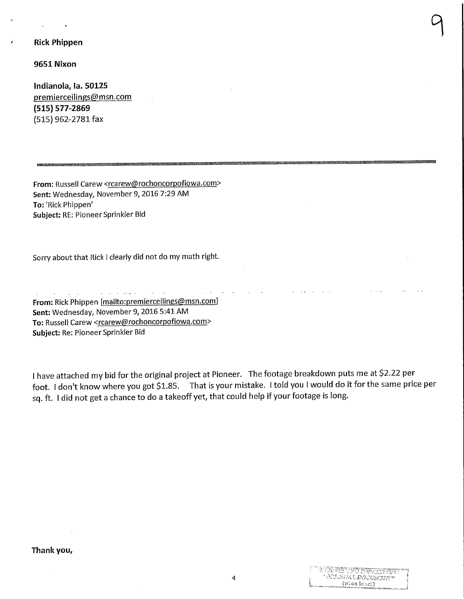### Rick Phippen

9651 Nixon

Indianola, la. 50125 premierceilings@msn.com (515) 577-2869 (515) 962-2781 fax

From: Russell Carew <rcarew@rochoncorpofiowa.com> Sent: Wednesday, November 9, 2016 7:29 AM To: 'Rick Phippen' Subject: RE: Pioneer Sprinkler Bid

Sorry about that Rick 1 clearly did not do my math right.

From: Rick Phippen [mailto:premierceilings@msn.com] Sent: Wednesday, November 9, 2016 5:41 AM To: Russell Carew <rcarew@rochoncorpofiowa.com> Subject: Re: Pioneer Sprinkler Bid

I have attached my bid for the original project at Pioneer. The footage breakdown puts me at \$2.22 per foot. I don't know where you got \$1.85. That is your mistake. I told you I would do it for the same price per sq. ft. I did not get a chance to do a takeoff yet, that could help if your footage is long.

 $\bigcap$